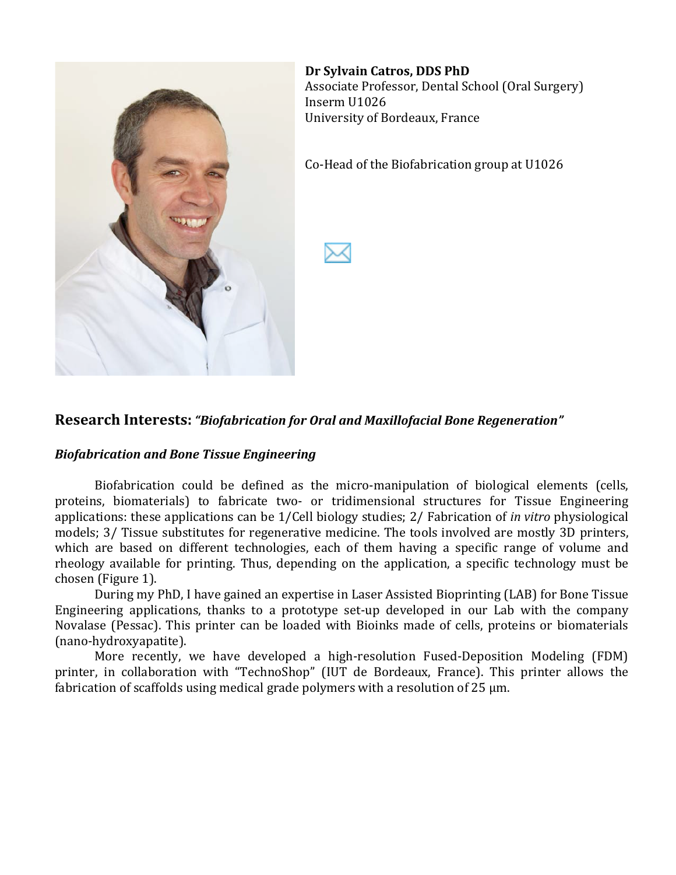

**Dr Sylvain Catros, DDS PhD** Associate Professor, Dental School (Oral Surgery) Inserm!U1026 University of Bordeaux, France

Co-Head of the Biofabrication group at U1026

#### **Research Interests: "Biofabrication for Oral and Maxillofacial Bone Regeneration"**

#### *Biofabrication!and Bone!Tissue!Engineering*

Biofabrication could be defined as the micro-manipulation of biological elements (cells, proteins, biomaterials) to fabricate two- or tridimensional structures for Tissue Engineering applications: these applications can be 1/Cell biology studies; 2/ Fabrication of *in vitro* physiological models; 3/ Tissue substitutes for regenerative medicine. The tools involved are mostly 3D printers, which are based on different technologies, each of them having a specific range of volume and rheology available for printing. Thus, depending on the application, a specific technology must be chosen (Figure 1).

During my PhD, I have gained an expertise in Laser Assisted Bioprinting (LAB) for Bone Tissue Engineering applications, thanks to a prototype set-up developed in our Lab with the company Novalase (Pessac). This printer can be loaded with Bioinks made of cells, proteins or biomaterials (nano-hydroxyapatite).

More recently, we have developed a high-resolution Fused-Deposition Modeling (FDM) printer, in collaboration with "TechnoShop" (IUT de Bordeaux, France). This printer allows the fabrication of scaffolds using medical grade polymers with a resolution of 25  $\mu$ m.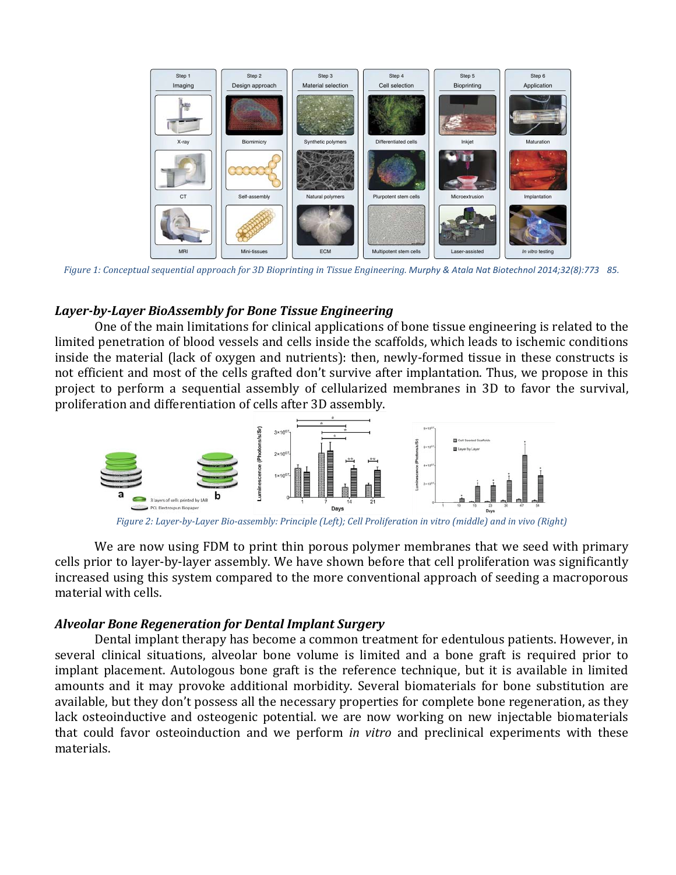

.85 . Figure 1: Conceptual sequential approach for 3D Bioprinting in Tissue Engineering. Murphy & Atala Nat Biotechnol 2014;32(8):773

# Layer-by-Layer BioAssembly for Bone Tissue Engineering

One of the main limitations for clinical applications of bone tissue engineering is related to the limited penetration of blood vessels and cells inside the scaffolds, which leads to ischemic conditions inside the material (lack of oxygen and nutrients): then, newly-formed tissue in these constructs is not efficient and most of the cells grafted don't survive after implantation. Thus, we propose in this project to perform a sequential assembly of cellularized membranes in 3D to favor the survival, proliferation and differentiation of cells after 3D assembly.



*Figure 2: Layer-by-Layer Bio-assembly: Principle (Left); Cell Proliferation in vitro (middle) and in vivo (Right)* 

We are now using FDM to print thin porous polymer membranes that we seed with primary cells prior to layer-by-layer assembly. We have shown before that cell proliferation was significantly increased using this system compared to the more conventional approach of seeding a macroporous material with cells.

#### *Alveolar!Bone!Regeneration!for!Dental!Implant!Surgery*

Dental implant therapy has become a common treatment for edentulous patients. However, in several clinical situations, alveolar bone volume is limited and a bone graft is required prior to implant placement. Autologous bone graft is the reference technique, but it is available in limited amounts and it may provoke additional morbidity. Several biomaterials for bone substitution are available, but they don't possess all the necessary properties for complete bone regeneration, as they lack osteoinductive and osteogenic potential. we are now working on new injectable biomaterials that could favor osteoinduction and we perform *in vitro* and preclinical experiments with these materials.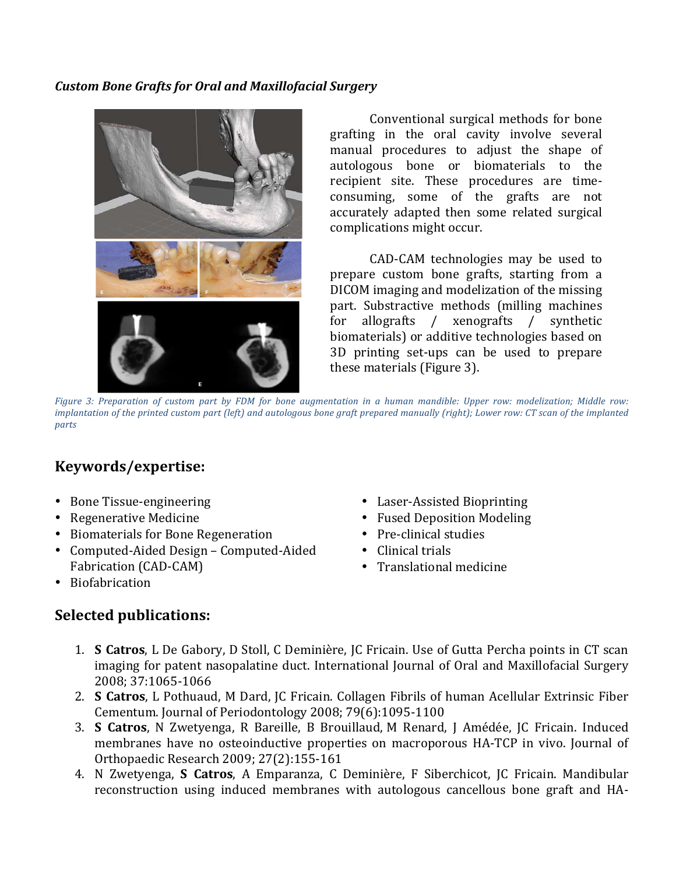#### *Custom!Bone!Grafts!for!Oral!and!Maxillofacial!Surgery*



Conventional surgical methods for bone grafting in the oral cavity involve several manual procedures to adjust the shape of autologous bone or biomaterials to the recipient site. These procedures are timeconsuming, some of the grafts are not accurately adapted then some related surgical complications might occur.

CAD-CAM technologies may be used to prepare custom bone grafts, starting from a DICOM imaging and modelization of the missing part. Substractive methods (milling machines for allografts / xenografts / synthetic biomaterials) or additive technologies based on 3D printing set-ups can be used to prepare these materials (Figure 3).

*Figure 3: Preparation of custom part by FDM for bone augmentation in a human mandible: Upper row: modelization; Middle row: implantation of the printed custom part (left) and autologous bone graft prepared manually (right); Lower row: CT scan of the implanted parts*

## **Keywords/expertise:**

- Bone Tissue-engineering
- Regenerative Medicine
- Biomaterials for Bone Regeneration
- Computed-Aided Design Computed-Aided Fabrication (CAD-CAM)
- Biofabrication

#### **Selected publications:**

- Laser-Assisted Bioprinting
- Fused Deposition Modeling
- $\bullet$  Pre-clinical studies
- $\bullet$  Clinical trials
- Translational medicine
- 1. **S Catros**, L De Gabory, D Stoll, C Deminière, JC Fricain. Use of Gutta Percha points in CT scan imaging for patent nasopalatine duct. International Journal of Oral and Maxillofacial Surgery 2008; 37:1065-1066
- 2. **S Catros**, L Pothuaud, M Dard, JC Fricain. Collagen Fibrils of human Acellular Extrinsic Fiber Cementum. Journal of Periodontology 2008; 79(6):1095-1100
- 3. **S Catros**, N Zwetyenga, R Bareille, B Brouillaud, M Renard, J Amédée, JC Fricain. Induced membranes have no osteoinductive properties on macroporous HA-TCP in vivo. Journal of Orthopaedic Research 2009; 27(2):155-161
- 4. N Zwetyenga, **S Catros**, A Emparanza, C Deminière, F Siberchicot, JC Fricain. Mandibular reconstruction using induced membranes with autologous cancellous bone graft and HA-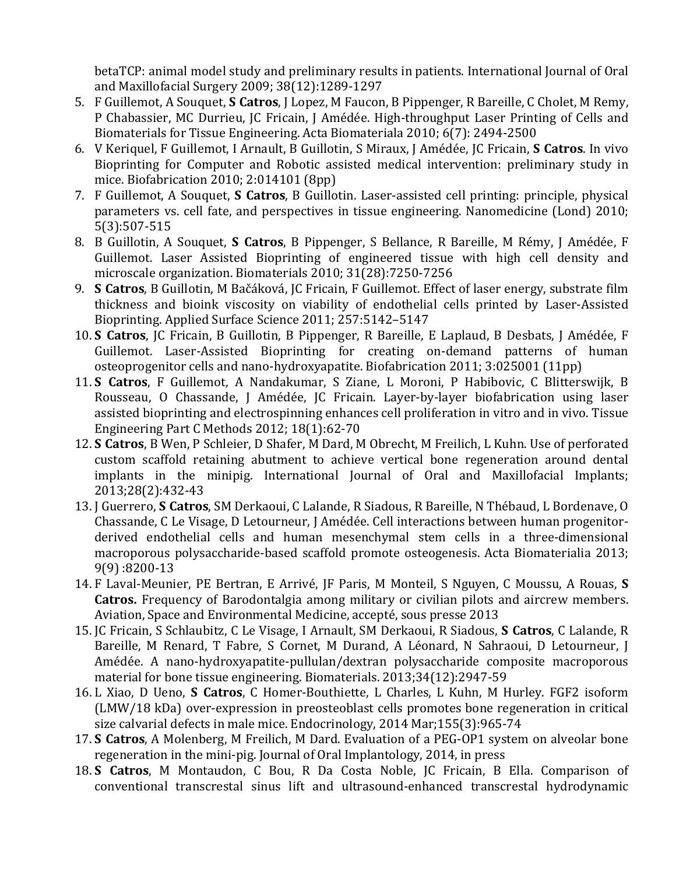betaTCP: animal model study and preliminary results in patients. International Journal of Oral and Maxillofacial Surgery 2009; 38(12):1289-1297

- 5. F Guillemot, A Souquet, **S Catros**, J Lopez, M Faucon, B Pippenger, R Bareille, C Cholet, M Remy, P Chabassier, MC Durrieu, JC Fricain, J Amédée. High-throughput Laser Printing of Cells and Biomaterials for Tissue Engineering. Acta Biomateriala 2010; 6(7): 2494-2500
- 6. V Keriquel, F Guillemot, I Arnault, B Guillotin, S Miraux, J Amédée, JC Fricain, **S Catros**. In vivo Bioprinting for Computer and Robotic assisted medical intervention: preliminary study in mice. Biofabrication 2010;  $2:014101$  (8pp)
- 7. F Guillemot, A Souquet, **S Catros**, B Guillotin. Laser-assisted cell printing: principle, physical parameters vs. cell fate, and perspectives in tissue engineering. Nanomedicine (Lond) 2010; 5(3):507-515
- 8. B Guillotin, A Souquet, **S Catros**, B Pippenger, S Bellance, R Bareille, M Rémy, J Amédée, F Guillemot. Laser Assisted Bioprinting of engineered tissue with high cell density and microscale organization. Biomaterials 2010; 31(28):7250-7256
- 9. **S Catros**, B Guillotin, M Bačáková, JC Fricain, F Guillemot. Effect of laser energy, substrate film thickness and bioink viscosity on viability of endothelial cells printed by Laser-Assisted Bioprinting. Applied Surface Science 2011; 257:5142–5147
- 10. **S Catros**, JC Fricain, B Guillotin, B Pippenger, R Bareille, E Laplaud, B Desbats, J Amédée, F Guillemot. Laser-Assisted Bioprinting for creating on-demand patterns of human osteoprogenitor cells and nano-hydroxyapatite. Biofabrication 2011; 3:025001 (11pp)
- 11. **S Catros**, F Guillemot, A Nandakumar, S Ziane, L Moroni, P Habibovic, C Blitterswijk, B Rousseau, O Chassande, J Amédée, JC Fricain. Layer-by-layer biofabrication using laser assisted bioprinting and electrospinning enhances cell proliferation in vitro and in vivo. Tissue Engineering Part C Methods 2012;  $18(1):62-70$
- 12. **S Catros**, B Wen, P Schleier, D Shafer, M Dard, M Obrecht, M Freilich, L Kuhn. Use of perforated custom scaffold retaining abutment to achieve vertical bone regeneration around dental implants in the minipig. International Journal of Oral and Maxillofacial Implants; 2013;28(2):432-43
- 13. J Guerrero, **S Catros**, SM Derkaoui, C Lalande, R Siadous, R Bareille, N Thébaud, L Bordenave, O Chassande, C Le Visage, D Letourneur, J Amédée. Cell interactions between human progenitorderived endothelial cells and human mesenchymal stem cells in a three-dimensional macroporous polysaccharide-based scaffold promote osteogenesis. Acta Biomaterialia 2013;  $9(9) : 8200 - 13$
- 14. F Laval-Meunier, PE Bertran, E Arrivé, JF Paris, M Monteil, S Nguyen, C Moussu, A Rouas, S **Catros.** Frequency of Barodontalgia among military or civilian pilots and aircrew members. Aviation, Space and Environmental Medicine, accepté, sous presse 2013
- 15. JC Fricain, S Schlaubitz, C Le Visage, I Arnault, SM Derkaoui, R Siadous, S Catros, C Lalande, R Bareille, M Renard, T Fabre, S Cornet, M Durand, A Léonard, N Sahraoui, D Letourneur, J Amédée. A nano-hydroxyapatite-pullulan/dextran polysaccharide composite macroporous material for bone tissue engineering. Biomaterials. 2013;34(12):2947-59
- 16. L Xiao, D Ueno, S Catros, C Homer-Bouthiette, L Charles, L Kuhn, M Hurley. FGF2 isoform  $(LMW/18 kDa)$  over-expression in preosteoblast cells promotes bone regeneration in critical size calvarial defects in male mice. Endocrinology, 2014 Mar;155(3):965-74
- 17. **S Catros**, A Molenberg, M Freilich, M Dard. Evaluation of a PEG-OP1 system on alveolar bone regeneration in the mini-pig. Journal of Oral Implantology, 2014, in press
- 18. **S Catros**, M Montaudon, C Bou, R Da Costa Noble, JC Fricain, B Ella. Comparison of conventional transcrestal sinus lift and ultrasound-enhanced transcrestal hydrodynamic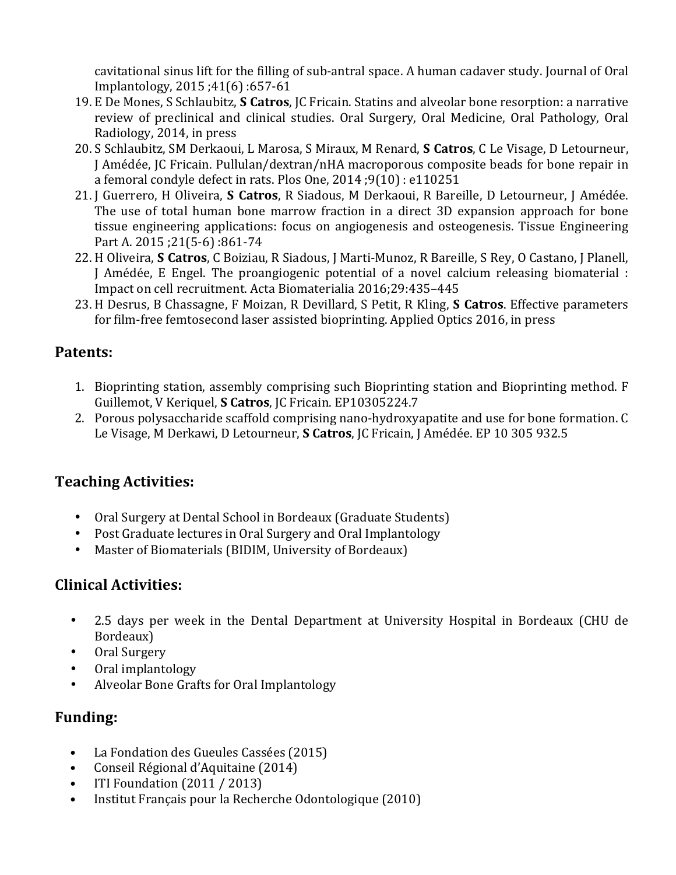cavitational sinus lift for the filling of sub-antral space. A human cadaver study. Journal of Oral Implantology, 2015 :41(6) :657-61

- 19. E De Mones, S Schlaubitz, **S Catros**, JC Fricain. Statins and alveolar bone resorption: a narrative review of preclinical and clinical studies. Oral Surgery, Oral Medicine, Oral Pathology, Oral Radiology, 2014, in press
- 20. S Schlaubitz, SM Derkaoui, L Marosa, S Miraux, M Renard, **S Catros**, C Le Visage, D Letourneur, J Amédée, JC Fricain. Pullulan/dextran/nHA macroporous composite beads for bone repair in a femoral condyle defect in rats. Plos One, 2014 ;9(10) : e110251
- 21. J Guerrero, H Oliveira, **S Catros**, R Siadous, M Derkaoui, R Bareille, D Letourneur, J Amédée. The use of total human bone marrow fraction in a direct 3D expansion approach for bone tissue engineering applications: focus on angiogenesis and osteogenesis. Tissue Engineering Part A. 2015 ;21(5-6) :861-74
- 22. H Oliveira, **S Catros**, C Boiziau, R Siadous, J Marti-Munoz, R Bareille, S Rey, O Castano, J Planell, J. Amédée, E. Engel. The proangiogenic potential of a novel calcium releasing biomaterial : Impact on cell recruitment. Acta Biomaterialia 2016;29:435-445
- 23. H Desrus, B Chassagne, F Moizan, R Devillard, S Petit, R Kling, S Catros. Effective parameters for film-free femtosecond laser assisted bioprinting. Applied Optics 2016, in press

#### **Patents:**

- 1. Bioprinting station, assembly comprising such Bioprinting station and Bioprinting method. F Guillemot, V Keriquel, S Catros, JC Fricain. EP10305224.7
- 2. Porous polysaccharide scaffold comprising nano-hydroxyapatite and use for bone formation. C Le Visage, M Derkawi, D Letourneur, **S Catros**, JC Fricain, J Amédée. EP 10 305 932.5

# **Teaching Activities:**

- Oral Surgery at Dental School in Bordeaux (Graduate Students)
- Post Graduate lectures in Oral Surgery and Oral Implantology
- Master of Biomaterials (BIDIM, University of Bordeaux)

## **Clinical#Activities:**

- 2.5 days per week in the Dental Department at University Hospital in Bordeaux (CHU de Bordeaux)
- Oral Surgery
- Oral implantology
- Alveolar Bone Grafts for Oral Implantology

#### **Funding:**

- La Fondation des Gueules Cassées (2015)
- Conseil Régional d'Aquitaine (2014)
- ITI Foundation  $(2011 / 2013)$
- Institut Français pour la Recherche Odontologique (2010)